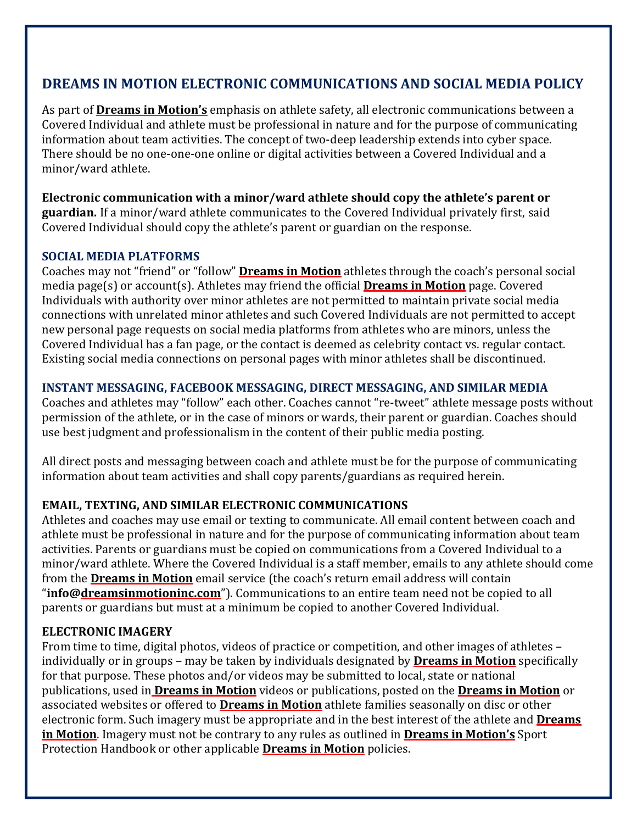# **DREAMS IN MOTION ELECTRONIC COMMUNICATIONS AND SOCIAL MEDIA POLICY**

As part of **Dreams in Motion's** emphasis on athlete safety, all electronic communications between a Covered Individual and athlete must be professional in nature and for the purpose of communicating information about team activities. The concept of two-deep leadership extends into cyber space. There should be no one‐one‐one online or digital activities between a Covered Individual and a minor/ward athlete.

**Electronic communication with a minor/ward athlete should copy the athlete's parent or guardian.** If a minor/ward athlete communicates to the Covered Individual privately first, said Covered Individual should copy the athlete's parent or guardian on the response.

### **SOCIAL MEDIA PLATFORMS**

Coaches may not "friend" or "follow" **Dreams in Motion** athletes through the coach's personal social media page(s) or account(s). Athletes may friend the official **Dreams in Motion** page. Covered Individuals with authority over minor athletes are not permitted to maintain private social media connections with unrelated minor athletes and such Covered Individuals are not permitted to accept new personal page requests on social media platforms from athletes who are minors, unless the Covered Individual has a fan page, or the contact is deemed as celebrity contact vs. regular contact. Existing social media connections on personal pages with minor athletes shall be discontinued.

## **INSTANT MESSAGING, FACEBOOK MESSAGING, DIRECT MESSAGING, AND SIMILAR MEDIA**

Coaches and athletes may "follow" each other. Coaches cannot "re‐tweet" athlete message posts without permission of the athlete, or in the case of minors or wards, their parent or guardian. Coaches should use best judgment and professionalism in the content of their public media posting.

All direct posts and messaging between coach and athlete must be for the purpose of communicating information about team activities and shall copy parents/guardians as required herein.

### **EMAIL, TEXTING, AND SIMILAR ELECTRONIC COMMUNICATIONS**

Athletes and coaches may use email or texting to communicate. All email content between coach and athlete must be professional in nature and for the purpose of communicating information about team activities. Parents or guardians must be copied on communications from a Covered Individual to a minor/ward athlete. Where the Covered Individual is a staff member, emails to any athlete should come from the **Dreams in Motion** email service (the coach's return email address will contain "**info@dreamsinmotioninc.com**"). Communications to an entire team need not be copied to all parents or guardians but must at a minimum be copied to another Covered Individual.

### **ELECTRONIC IMAGERY**

From time to time, digital photos, videos of practice or competition, and other images of athletes – individually or in groups – may be taken by individuals designated by **Dreams in Motion** specifically for that purpose. These photos and/or videos may be submitted to local, state or national publications, used in **Dreams in Motion** videos or publications, posted on the **Dreams in Motion** or associated websites or offered to **Dreams in Motion** athlete families seasonally on disc or other electronic form. Such imagery must be appropriate and in the best interest of the athlete and **Dreams in Motion**. Imagery must not be contrary to any rules as outlined in **Dreams in Motion's** Sport Protection Handbook or other applicable **Dreams in Motion** policies.